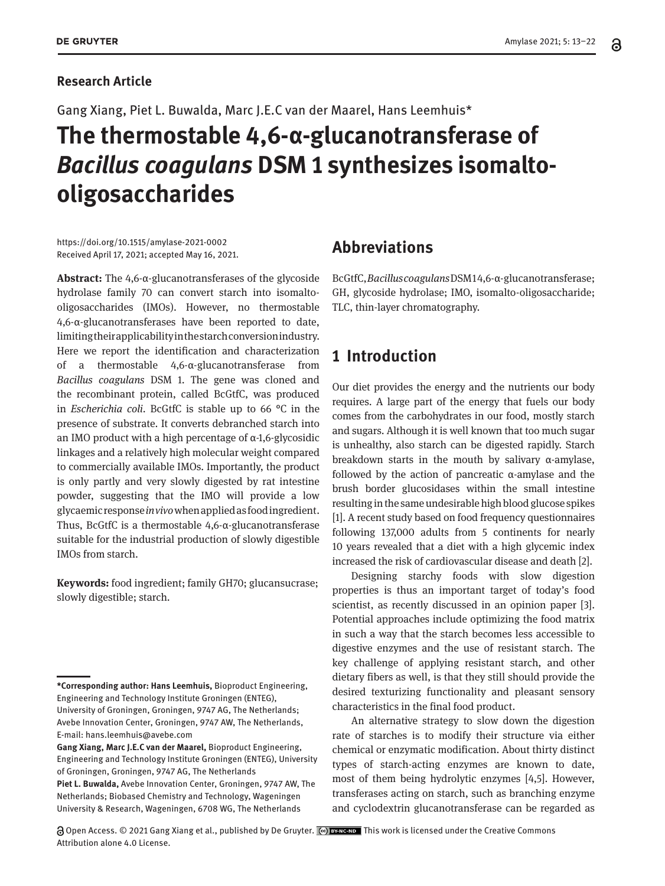#### **Research Article**

Gang Xiang, Piet L. Buwalda, Marc J.E.C van der Maarel, Hans Leemhuis\*

# **The thermostable 4,6-α-glucanotransferase of**  *Bacillus coagulans* **DSM 1 synthesizes isomaltooligosaccharides**

https://doi.org/10.1515/amylase-2021-0002 Received April 17, 2021; accepted May 16, 2021.

**Abstract:** The 4,6-α-glucanotransferases of the glycoside hydrolase family 70 can convert starch into isomaltooligosaccharides (IMOs). However, no thermostable 4,6-α-glucanotransferases have been reported to date, limiting their applicability in the starch conversion industry. Here we report the identification and characterization of a thermostable 4,6-α-glucanotransferase from *Bacillus coagulans* DSM 1. The gene was cloned and the recombinant protein, called BcGtfC, was produced in *Escherichia coli*. BcGtfC is stable up to 66 °C in the presence of substrate. It converts debranched starch into an IMO product with a high percentage of α-1,6-glycosidic linkages and a relatively high molecular weight compared to commercially available IMOs. Importantly, the product is only partly and very slowly digested by rat intestine powder, suggesting that the IMO will provide a low glycaemic response *in vivo* when applied as food ingredient. Thus, BcGtfC is a thermostable 4,6-α-glucanotransferase suitable for the industrial production of slowly digestible IMOs from starch.

**Keywords:** food ingredient; family GH70; glucansucrase; slowly digestible; starch.

# **Abbreviations**

BcGtfC, *Bacillus coagulans* DSM 1 4,6-α-glucanotransferase; GH, glycoside hydrolase; IMO, isomalto-oligosaccharide; TLC, thin-layer chromatography.

# **1 Introduction**

Our diet provides the energy and the nutrients our body requires. A large part of the energy that fuels our body comes from the carbohydrates in our food, mostly starch and sugars. Although it is well known that too much sugar is unhealthy, also starch can be digested rapidly. Starch breakdown starts in the mouth by salivary α-amylase, followed by the action of pancreatic α-amylase and the brush border glucosidases within the small intestine resulting in the same undesirable high blood glucose spikes [1]. A recent study based on food frequency questionnaires following 137,000 adults from 5 continents for nearly 10 years revealed that a diet with a high glycemic index increased the risk of cardiovascular disease and death [2].

Designing starchy foods with slow digestion properties is thus an important target of today's food scientist, as recently discussed in an opinion paper [3]. Potential approaches include optimizing the food matrix in such a way that the starch becomes less accessible to digestive enzymes and the use of resistant starch. The key challenge of applying resistant starch, and other dietary fibers as well, is that they still should provide the desired texturizing functionality and pleasant sensory characteristics in the final food product.

An alternative strategy to slow down the digestion rate of starches is to modify their structure via either chemical or enzymatic modification. About thirty distinct types of starch-acting enzymes are known to date, most of them being hydrolytic enzymes [4,5]. However, transferases acting on starch, such as branching enzyme and cyclodextrin glucanotransferase can be regarded as

a Open Access. © 2021 Gang Xiang et al., published by De Gruyter. Collex North is work is licensed under the Creative Commons Attribution alone 4.0 License.

**<sup>\*</sup>Corresponding author: Hans Leemhuis,** Bioproduct Engineering, Engineering and Technology Institute Groningen (ENTEG), University of Groningen, Groningen, 9747 AG, The Netherlands; Avebe Innovation Center, Groningen, 9747 AW, The Netherlands, E-mail: hans.leemhuis@avebe.com

**Gang Xiang, Marc J.E.C van der Maarel,** Bioproduct Engineering, Engineering and Technology Institute Groningen (ENTEG), University of Groningen, Groningen, 9747 AG, The Netherlands **Piet L. Buwalda,** Avebe Innovation Center, Groningen, 9747 AW, The Netherlands; Biobased Chemistry and Technology, Wageningen University & Research, Wageningen, 6708 WG, The Netherlands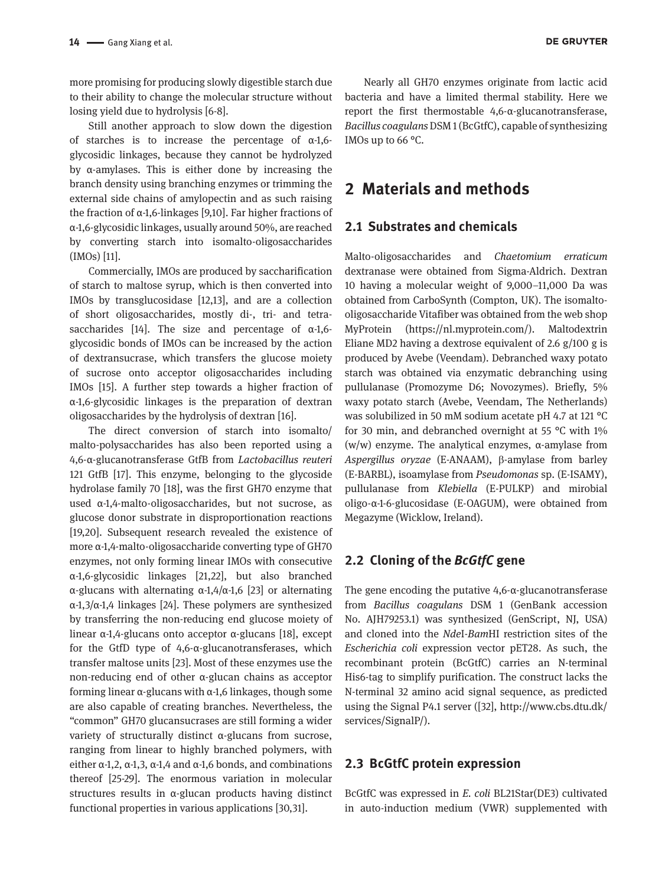more promising for producing slowly digestible starch due to their ability to change the molecular structure without losing yield due to hydrolysis [6-8].

Still another approach to slow down the digestion of starches is to increase the percentage of  $\alpha$ -1,6glycosidic linkages, because they cannot be hydrolyzed by α-amylases. This is either done by increasing the branch density using branching enzymes or trimming the external side chains of amylopectin and as such raising the fraction of α-1,6-linkages [9,10]. Far higher fractions of α-1,6-glycosidic linkages, usually around 50%, are reached by converting starch into isomalto-oligosaccharides (IMOs) [11].

Commercially, IMOs are produced by saccharification of starch to maltose syrup, which is then converted into IMOs by transglucosidase [12,13], and are a collection of short oligosaccharides, mostly di-, tri- and tetrasaccharides [14]. The size and percentage of  $\alpha$ -1,6glycosidic bonds of IMOs can be increased by the action of dextransucrase, which transfers the glucose moiety of sucrose onto acceptor oligosaccharides including IMOs [15]. A further step towards a higher fraction of α-1,6-glycosidic linkages is the preparation of dextran oligosaccharides by the hydrolysis of dextran [16].

The direct conversion of starch into isomalto/ malto-polysaccharides has also been reported using a 4,6-α-glucanotransferase GtfB from *Lactobacillus reuteri*  121 GtfB [17]. This enzyme, belonging to the glycoside hydrolase family 70 [18], was the first GH70 enzyme that used α-1,4-malto-oligosaccharides, but not sucrose, as glucose donor substrate in disproportionation reactions [19,20]. Subsequent research revealed the existence of more α-1,4-malto-oligosaccharide converting type of GH70 enzymes, not only forming linear IMOs with consecutive α-1,6-glycosidic linkages [21,22], but also branched α-glucans with alternating α-1,4/α-1,6 [23] or alternating α-1,3/α-1,4 linkages [24]. These polymers are synthesized by transferring the non-reducing end glucose moiety of linear α-1,4-glucans onto acceptor α-glucans [18], except for the GtfD type of 4,6-α-glucanotransferases, which transfer maltose units [23]. Most of these enzymes use the non-reducing end of other α-glucan chains as acceptor forming linear α-glucans with α-1,6 linkages, though some are also capable of creating branches. Nevertheless, the "common" GH70 glucansucrases are still forming a wider variety of structurally distinct α-glucans from sucrose, ranging from linear to highly branched polymers, with either α-1,2, α-1,3, α-1,4 and α-1,6 bonds, and combinations thereof [25-29]. The enormous variation in molecular structures results in α-glucan products having distinct functional properties in various applications [30,31].

Nearly all GH70 enzymes originate from lactic acid bacteria and have a limited thermal stability. Here we report the first thermostable 4,6-α-glucanotransferase, *Bacillus coagulans* DSM 1 (BcGtfC), capable of synthesizing IMOs up to 66 °C.

## **2 Materials and methods**

#### **2.1 Substrates and chemicals**

Malto-oligosaccharides and *Chaetomium erraticum* dextranase were obtained from Sigma-Aldrich. Dextran 10 having a molecular weight of 9,000–11,000 Da was obtained from CarboSynth (Compton, UK). The isomaltooligosaccharide Vitafiber was obtained from the web shop MyProtein [\(https://nl.myprotein.com/](https://nl.myprotein.com/)). Maltodextrin Eliane MD2 having a dextrose equivalent of 2.6 g/100 g is produced by Avebe (Veendam). Debranched waxy potato starch was obtained via enzymatic debranching using pullulanase (Promozyme D6; Novozymes). Briefly, 5% waxy potato starch (Avebe, Veendam, The Netherlands) was solubilized in 50 mM sodium acetate pH 4.7 at 121 °C for 30 min, and debranched overnight at 55 °C with 1% (w/w) enzyme. The analytical enzymes, α-amylase from *Aspergillus oryzae* (E-ANAAM), b-amylase from barley (E-BARBL), isoamylase from *Pseudomonas* sp. (E-ISAMY), pullulanase from *Klebiella* (E-PULKP) and mirobial oligo-α-1-6-glucosidase (E-OAGUM), were obtained from Megazyme (Wicklow, Ireland).

### **2.2 Cloning of the** *BcGtfC* **gene**

The gene encoding the putative 4,6-α-glucanotransferase from *Bacillus coagulans* DSM 1 (GenBank accession No. [AJH79253.1](http://www.ncbi.nlm.nih.gov/entrez/viewer.fcgi?db=protein&val=AJH79253.1)) was synthesized (GenScript, NJ, USA) and cloned into the *Nde*I-*Bam*HI restriction sites of the *Escherichia coli* expression vector pET28. As such, the recombinant protein (BcGtfC) carries an N-terminal His6-tag to simplify purification. The construct lacks the N-terminal 32 amino acid signal sequence, as predicted using the Signal P4.1 server ([32], [http://www.cbs.dtu.dk/](http://www.cbs.dtu.dk/services/SignalP/) [services/SignalP/\)](http://www.cbs.dtu.dk/services/SignalP/).

#### **2.3 BcGtfC protein expression**

BcGtfC was expressed in *E. coli* BL21Star(DE3) cultivated in auto-induction medium (VWR) supplemented with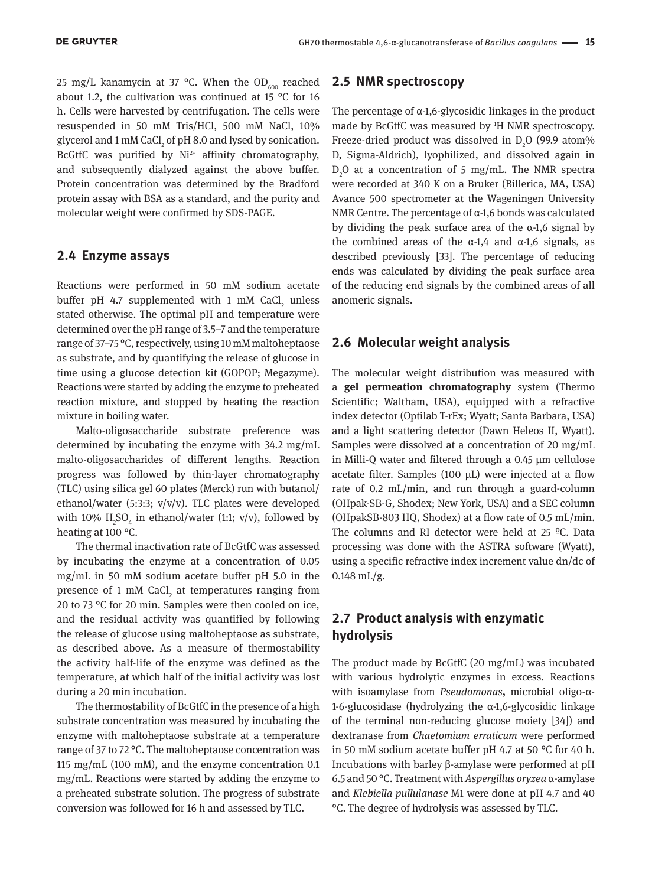25 mg/L kanamycin at 37 °C. When the OD<sub>600</sub> reached about 1.2, the cultivation was continued at 15 °C for 16 h. Cells were harvested by centrifugation. The cells were resuspended in 50 mM Tris/HCl, 500 mM NaCl, 10% glycerol and 1 mM CaCl $_{2}$  of pH 8.0 and lysed by sonication. BcGtfC was purified by Ni<sup>2+</sup> affinity chromatography, and subsequently dialyzed against the above buffer. Protein concentration was determined by the Bradford protein assay with BSA as a standard, and the purity and molecular weight were confirmed by SDS-PAGE.

#### **2.4 Enzyme assays**

Reactions were performed in 50 mM sodium acetate buffer pH 4.7 supplemented with 1 mM  $\text{CaCl}_{_2}$  unless stated otherwise. The optimal pH and temperature were determined over the pH range of 3.5–7 and the temperature range of 37–75 °C, respectively, using 10 mM maltoheptaose as substrate, and by quantifying the release of glucose in time using a glucose detection kit (GOPOP; Megazyme). Reactions were started by adding the enzyme to preheated reaction mixture, and stopped by heating the reaction mixture in boiling water.

Malto-oligosaccharide substrate preference was determined by incubating the enzyme with 34.2 mg/mL malto-oligosaccharides of different lengths. Reaction progress was followed by thin-layer chromatography (TLC) using silica gel 60 plates (Merck) run with butanol/ ethanol/water (5:3:3;  $v/v/v$ ). TLC plates were developed with 10%  $\rm H_2SO_4$  in ethanol/water (1:1; v/v), followed by heating at 100 °C.

The thermal inactivation rate of BcGtfC was assessed by incubating the enzyme at a concentration of 0.05 mg/mL in 50 mM sodium acetate buffer pH 5.0 in the presence of 1 mM  $CaCl<sub>2</sub>$  at temperatures ranging from 20 to 73 °C for 20 min. Samples were then cooled on ice, and the residual activity was quantified by following the release of glucose using maltoheptaose as substrate, as described above. As a measure of thermostability the activity half-life of the enzyme was defined as the temperature, at which half of the initial activity was lost during a 20 min incubation.

The thermostability of BcGtfC in the presence of a high substrate concentration was measured by incubating the enzyme with maltoheptaose substrate at a temperature range of 37 to 72 °C. The maltoheptaose concentration was 115 mg/mL (100 mM), and the enzyme concentration 0.1 mg/mL. Reactions were started by adding the enzyme to a preheated substrate solution. The progress of substrate conversion was followed for 16 h and assessed by TLC.

#### **2.5 NMR spectroscopy**

The percentage of  $\alpha$ -1,6-glycosidic linkages in the product made by BcGtfC was measured by <sup>1</sup>H NMR spectroscopy. Freeze-dried product was dissolved in  $D_2O$  (99.9 atom% D, Sigma-Aldrich), lyophilized, and dissolved again in  $D_2O$  at a concentration of 5 mg/mL. The NMR spectra were recorded at 340 K on a Bruker (Billerica, MA, USA) Avance 500 spectrometer at the Wageningen University NMR Centre. The percentage of α-1,6 bonds was calculated by dividing the peak surface area of the α-1,6 signal by the combined areas of the  $α-1,4$  and  $α-1,6$  signals, as described previously [33]. The percentage of reducing ends was calculated by dividing the peak surface area of the reducing end signals by the combined areas of all anomeric signals.

#### **2.6 Molecular weight analysis**

The molecular weight distribution was measured with a **gel permeation chromatography** system (Thermo Scientific; Waltham, USA), equipped with a refractive index detector (Optilab T-rEx; Wyatt; Santa Barbara, USA) and a light scattering detector (Dawn Heleos II, Wyatt). Samples were dissolved at a concentration of 20 mg/mL in Milli-Q water and filtered through a 0.45 μm cellulose acetate filter. Samples (100 µL) were injected at a flow rate of 0.2 mL/min, and run through a guard-column (OHpak-SB-G, Shodex; New York, USA) and a SEC column (OHpakSB-803 HQ, Shodex) at a flow rate of 0.5 mL/min. The columns and RI detector were held at 25 ºC. Data processing was done with the ASTRA software (Wyatt), using a specific refractive index increment value dn/dc of 0.148 mL/g.

### **2.7 Product analysis with enzymatic hydrolysis**

The product made by BcGtfC (20 mg/mL) was incubated with various hydrolytic enzymes in excess. Reactions with isoamylase from *Pseudomonas***,** microbial oligo-α-1-6-glucosidase (hydrolyzing the α-1,6-glycosidic linkage of the terminal non-reducing glucose moiety [34]) and dextranase from *Chaetomium erraticum* were performed in 50 mM sodium acetate buffer pH 4.7 at 50 °C for 40 h. Incubations with barley β-amylase were performed at pH 6.5 and 50 °C. Treatment with *Aspergillus oryzea* α-amylase and *Klebiella pullulanase* M1 were done at pH 4.7 and 40 °C. The degree of hydrolysis was assessed by TLC.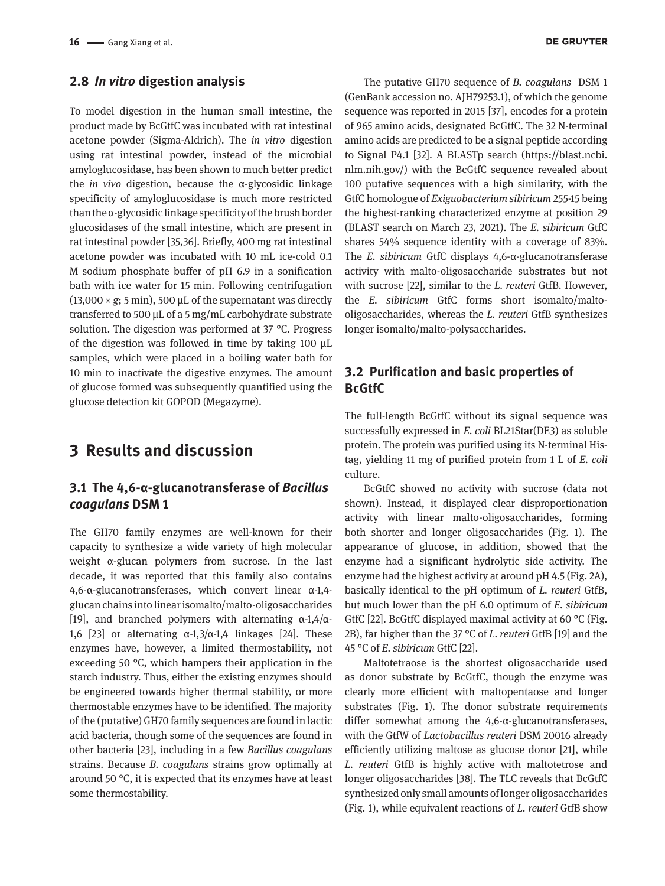#### **2.8** *In vitro* **digestion analysis**

To model digestion in the human small intestine, the product made by BcGtfC was incubated with rat intestinal acetone powder (Sigma-Aldrich). The *in vitro* digestion using rat intestinal powder, instead of the microbial amyloglucosidase, has been shown to much better predict the *in vivo* digestion, because the α-glycosidic linkage specificity of amyloglucosidase is much more restricted than the α-glycosidic linkage specificity of the brush border glucosidases of the small intestine, which are present in rat intestinal powder [35,36]. Briefly, 400 mg rat intestinal acetone powder was incubated with 10 mL ice-cold 0.1 M sodium phosphate buffer of pH 6.9 in a sonification bath with ice water for 15 min. Following centrifugation  $(13,000 \times g; 5 \text{ min})$ , 500 µL of the supernatant was directly transferred to 500 µL of a 5 mg/mL carbohydrate substrate solution. The digestion was performed at 37 °C. Progress of the digestion was followed in time by taking 100  $\mu$ L samples, which were placed in a boiling water bath for 10 min to inactivate the digestive enzymes. The amount of glucose formed was subsequently quantified using the glucose detection kit GOPOD (Megazyme).

### **3 Results and discussion**

### **3.1 The 4,6-α-glucanotransferase of** *Bacillus coagulans* **DSM 1**

The GH70 family enzymes are well-known for their capacity to synthesize a wide variety of high molecular weight α-glucan polymers from sucrose. In the last decade, it was reported that this family also contains 4,6-α-glucanotransferases, which convert linear α-1,4 glucan chains into linear isomalto/malto-oligosaccharides [19], and branched polymers with alternating α-1,4/α-1,6 [23] or alternating  $\alpha$ -1,3/ $\alpha$ -1,4 linkages [24]. These enzymes have, however, a limited thermostability, not exceeding 50 °C, which hampers their application in the starch industry. Thus, either the existing enzymes should be engineered towards higher thermal stability, or more thermostable enzymes have to be identified. The majority of the (putative) GH70 family sequences are found in lactic acid bacteria, though some of the sequences are found in other bacteria [23], including in a few *Bacillus coagulans* strains. Because *B. coagulans* strains grow optimally at around 50 °C, it is expected that its enzymes have at least some thermostability.

The putative GH70 sequence of *B. coagulans* DSM 1 (GenBank accession no. [AJH79253.1](http://www.ncbi.nlm.nih.gov/entrez/viewer.fcgi?db=protein&val=AJH79253.1)), of which the genome sequence was reported in 2015 [37], encodes for a protein of 965 amino acids, designated BcGtfC. The 32 N-terminal amino acids are predicted to be a signal peptide according to Signal P4.1 [32]. A BLASTp search [\(https://blast.ncbi.](https://blast.ncbi.nlm.nih.gov/) [nlm.nih.gov/](https://blast.ncbi.nlm.nih.gov/)) with the BcGtfC sequence revealed about 100 putative sequences with a high similarity, with the GtfC homologue of *Exiguobacterium sibiricum* 255-15 being the highest-ranking characterized enzyme at position 29 (BLAST search on March 23, 2021). The *E. sibiricum* GtfC shares 54% sequence identity with a coverage of 83%. The *E. sibiricum* GtfC displays 4,6-α-glucanotransferase activity with malto-oligosaccharide substrates but not with sucrose [22], similar to the *L. reuteri* GtfB. However, the *E. sibiricum* GtfC forms short isomalto/maltooligosaccharides, whereas the *L. reuteri* GtfB synthesizes longer isomalto/malto-polysaccharides.

### **3.2 Purification and basic properties of BcGtfC**

The full-length BcGtfC without its signal sequence was successfully expressed in *E. coli* BL21Star(DE3) as soluble protein. The protein was purified using its N-terminal Histag, yielding 11 mg of purified protein from 1 L of *E. coli* culture.

BcGtfC showed no activity with sucrose (data not shown). Instead, it displayed clear disproportionation activity with linear malto-oligosaccharides, forming both shorter and longer oligosaccharides (Fig. 1). The appearance of glucose, in addition, showed that the enzyme had a significant hydrolytic side activity. The enzyme had the highest activity at around pH 4.5 (Fig. 2A), basically identical to the pH optimum of *L. reuteri* GtfB, but much lower than the pH 6.0 optimum of *E. sibiricum* GtfC [22]. BcGtfC displayed maximal activity at 60 °C (Fig. 2B), far higher than the 37 °C of *L. reuteri* GtfB [19] and the 45 °C of *E. sibiricum* GtfC [22].

Maltotetraose is the shortest oligosaccharide used as donor substrate by BcGtfC, though the enzyme was clearly more efficient with maltopentaose and longer substrates (Fig. 1). The donor substrate requirements differ somewhat among the 4,6-α-glucanotransferases, with the GtfW of *Lactobacillus reuteri* DSM 20016 already efficiently utilizing maltose as glucose donor [21], while *L. reuteri* GtfB is highly active with maltotetrose and longer oligosaccharides [38]. The TLC reveals that BcGtfC synthesized only small amounts of longer oligosaccharides (Fig. 1), while equivalent reactions of *L. reuteri* GtfB show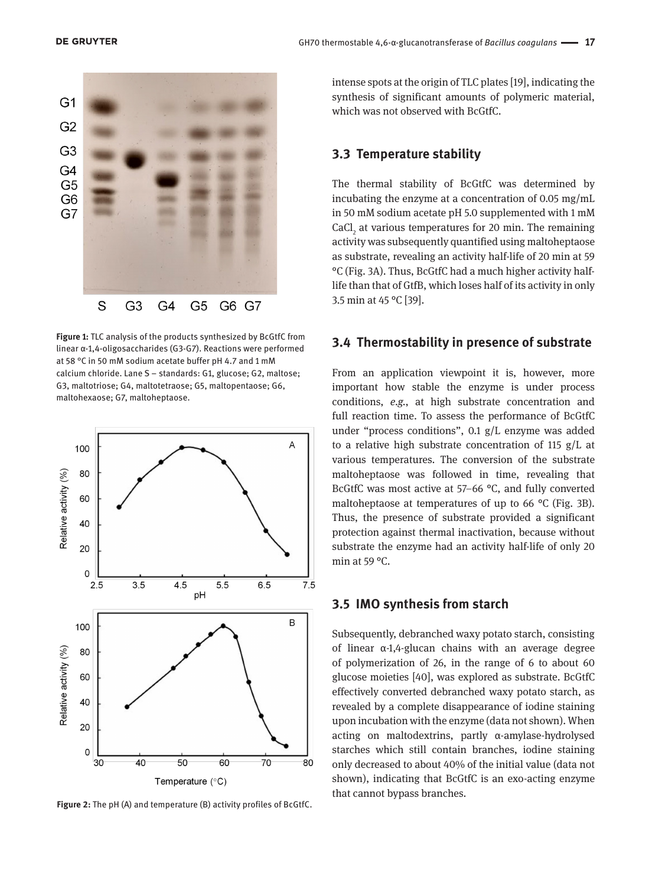

**Figure 1:** TLC analysis of the products synthesized by BcGtfC from linear α-1,4-oligosaccharides (G3-G7). Reactions were performed at 58 °C in 50 mM sodium acetate buffer pH 4.7 and 1 mM calcium chloride. Lane S – standards: G1, glucose; G2, maltose; G3, maltotriose; G4, maltotetraose; G5, maltopentaose; G6, maltohexaose; G7, maltoheptaose.



**Figure 2:** The pH (A) and temperature (B) activity profiles of BcGtfC.

intense spots at the origin of TLC plates [19], indicating the synthesis of significant amounts of polymeric material, which was not observed with BcGtfC.

#### **3.3 Temperature stability**

The thermal stability of BcGtfC was determined by incubating the enzyme at a concentration of 0.05 mg/mL in 50 mM sodium acetate pH 5.0 supplemented with 1 mM  $CaCl<sub>2</sub>$  at various temperatures for 20 min. The remaining activity was subsequently quantified using maltoheptaose as substrate, revealing an activity half-life of 20 min at 59 °C (Fig. 3A). Thus, BcGtfC had a much higher activity halflife than that of GtfB, which loses half of its activity in only 3.5 min at 45 °C [39].

#### **3.4 Thermostability in presence of substrate**

From an application viewpoint it is, however, more important how stable the enzyme is under process conditions, *e.g.*, at high substrate concentration and full reaction time. To assess the performance of BcGtfC under "process conditions", 0.1 g/L enzyme was added to a relative high substrate concentration of 115 g/L at various temperatures. The conversion of the substrate maltoheptaose was followed in time, revealing that BcGtfC was most active at 57–66 °C, and fully converted maltoheptaose at temperatures of up to 66 °C (Fig. 3B). Thus, the presence of substrate provided a significant protection against thermal inactivation, because without substrate the enzyme had an activity half-life of only 20 min at 59 °C.

#### **3.5 IMO synthesis from starch**

Subsequently, debranched waxy potato starch, consisting of linear α-1,4-glucan chains with an average degree of polymerization of 26, in the range of 6 to about 60 glucose moieties [40], was explored as substrate. BcGtfC effectively converted debranched waxy potato starch, as revealed by a complete disappearance of iodine staining upon incubation with the enzyme (data not shown). When acting on maltodextrins, partly α-amylase-hydrolysed starches which still contain branches, iodine staining only decreased to about 40% of the initial value (data not shown), indicating that BcGtfC is an exo-acting enzyme that cannot bypass branches.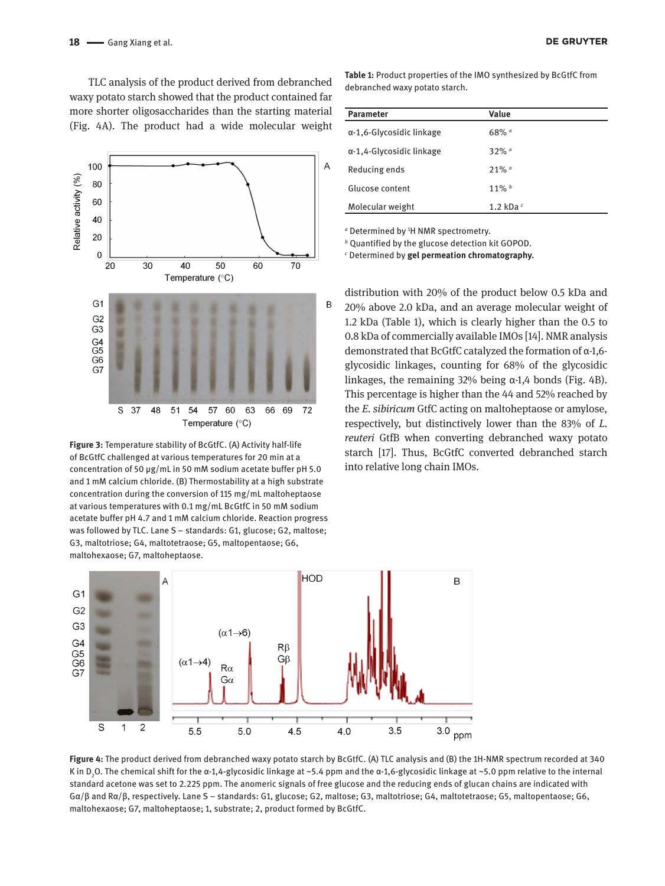TLC analysis of the product derived from debranched waxy potato starch showed that the product contained far more shorter oligosaccharides than the starting material (Fig. 4A). The product had a wide molecular weight



**Figure 3:** Temperature stability of BcGtfC. (A) Activity half-life of BcGtfC challenged at various temperatures for 20 min at a concentration of 50 µg/mL in 50 mM sodium acetate buffer pH 5.0 and 1 mM calcium chloride. (B) Thermostability at a high substrate concentration during the conversion of 115 mg/mL maltoheptaose at various temperatures with 0.1 mg/mL BcGtfC in 50 mM sodium acetate buffer pH 4.7 and 1 mM calcium chloride. Reaction progress was followed by TLC. Lane S – standards: G1, glucose; G2, maltose; G3, maltotriose; G4, maltotetraose; G5, maltopentaose; G6, maltohexaose; G7, maltoheptaose.

**Table 1:** Product properties of the IMO synthesized by BcGtfC from debranched waxy potato starch.

| <b>Parameter</b>                 | Value               |
|----------------------------------|---------------------|
| $\alpha$ -1,6-Glycosidic linkage | $68\%$ <sup>a</sup> |
| $\alpha$ -1,4-Glycosidic linkage | $32%$ a             |
| Reducing ends                    | $21\%$ <sup>a</sup> |
| Glucose content                  | $11\%$ <sup>b</sup> |
| Molecular weight                 | 1.2 kDa $\epsilon$  |

*a* Determined by 1 H NMR spectrometry.

*<sup>b</sup>* Quantified by the glucose detection kit GOPOD.

*c* Determined by **gel permeation chromatography.**

distribution with 20% of the product below 0.5 kDa and 20% above 2.0 kDa, and an average molecular weight of 1.2 kDa (Table 1), which is clearly higher than the 0.5 to 0.8 kDa of commercially available IMOs [14]. NMR analysis demonstrated that BcGtfC catalyzed the formation of α-1,6 glycosidic linkages, counting for 68% of the glycosidic linkages, the remaining 32% being  $\alpha$ -1,4 bonds (Fig. 4B). This percentage is higher than the 44 and 52% reached by the *E. sibiricum* GtfC acting on maltoheptaose or amylose, respectively, but distinctively lower than the 83% of *L. reuteri* GtfB when converting debranched waxy potato starch [17]. Thus, BcGtfC converted debranched starch into relative long chain IMOs.



**Figure 4:** The product derived from debranched waxy potato starch by BcGtfC. (A) TLC analysis and (B) the 1H-NMR spectrum recorded at 340 K in D<sub>2</sub>O. The chemical shift for the α-1,4-glycosidic linkage at ~5.4 ppm and the α-1,6-glycosidic linkage at ~5.0 ppm relative to the internal standard acetone was set to 2.225 ppm. The anomeric signals of free glucose and the reducing ends of glucan chains are indicated with Gα/β and Rα/β, respectively. Lane S – standards: G1, glucose; G2, maltose; G3, maltotriose; G4, maltotetraose; G5, maltopentaose; G6, maltohexaose; G7, maltoheptaose; 1, substrate; 2, product formed by BcGtfC.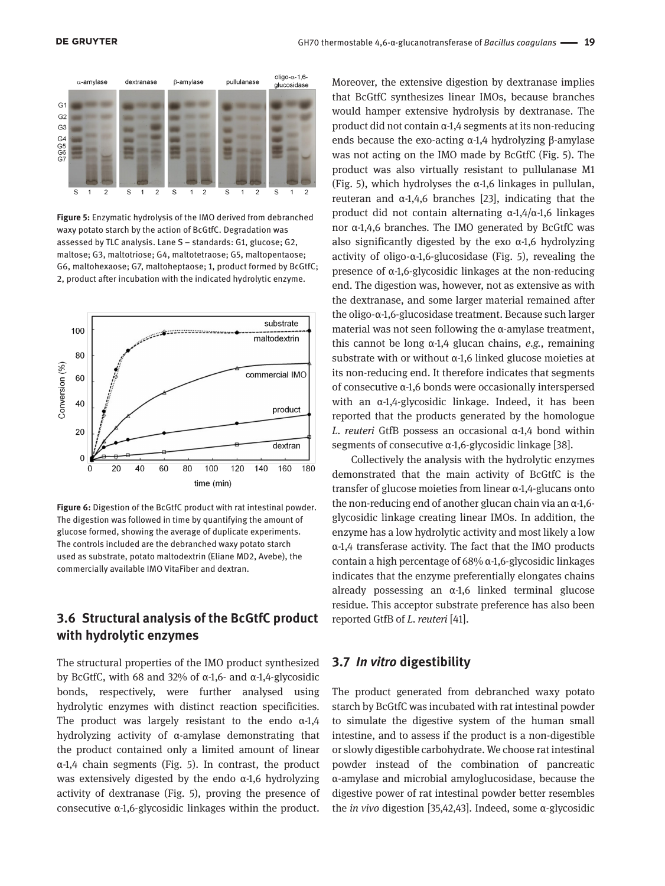

**Figure 5:** Enzymatic hydrolysis of the IMO derived from debranched waxy potato starch by the action of BcGtfC. Degradation was assessed by TLC analysis. Lane S – standards: G1, glucose; G2, maltose; G3, maltotriose; G4, maltotetraose; G5, maltopentaose; G6, maltohexaose; G7, maltoheptaose; 1, product formed by BcGtfC; 2, product after incubation with the indicated hydrolytic enzyme.



**Figure 6:** Digestion of the BcGtfC product with rat intestinal powder. The digestion was followed in time by quantifying the amount of glucose formed, showing the average of duplicate experiments. The controls included are the debranched waxy potato starch used as substrate, potato maltodextrin (Eliane MD2, Avebe), the commercially available IMO VitaFiber and dextran.

### **3.6 Structural analysis of the BcGtfC product with hydrolytic enzymes**

The structural properties of the IMO product synthesized by BcGtfC, with 68 and 32% of α-1,6- and α-1,4-glycosidic bonds, respectively, were further analysed using hydrolytic enzymes with distinct reaction specificities. The product was largely resistant to the endo  $\alpha$ -1,4 hydrolyzing activity of α-amylase demonstrating that the product contained only a limited amount of linear α-1,4 chain segments (Fig. 5). In contrast, the product was extensively digested by the endo α-1,6 hydrolyzing activity of dextranase (Fig. 5), proving the presence of consecutive α-1,6-glycosidic linkages within the product.

Moreover, the extensive digestion by dextranase implies that BcGtfC synthesizes linear IMOs, because branches would hamper extensive hydrolysis by dextranase. The product did not contain α-1,4 segments at its non-reducing ends because the exo-acting α-1,4 hydrolyzing β-amylase was not acting on the IMO made by BcGtfC (Fig. 5). The product was also virtually resistant to pullulanase M1 (Fig. 5), which hydrolyses the  $\alpha$ -1,6 linkages in pullulan, reuteran and  $α-1,4,6$  branches [23], indicating that the product did not contain alternating α-1,4/α-1,6 linkages nor α-1,4,6 branches. The IMO generated by BcGtfC was also significantly digested by the exo  $\alpha$ -1,6 hydrolyzing activity of oligo-α-1,6-glucosidase (Fig. 5), revealing the presence of α-1,6-glycosidic linkages at the non-reducing end. The digestion was, however, not as extensive as with the dextranase, and some larger material remained after the oligo-α-1,6-glucosidase treatment. Because such larger material was not seen following the α-amylase treatment, this cannot be long α-1,4 glucan chains, *e.g.*, remaining substrate with or without α-1,6 linked glucose moieties at its non-reducing end. It therefore indicates that segments of consecutive α-1,6 bonds were occasionally interspersed with an α-1,4-glycosidic linkage. Indeed, it has been reported that the products generated by the homologue *L. reuteri* GtfB possess an occasional α-1,4 bond within segments of consecutive α-1,6-glycosidic linkage [38].

Collectively the analysis with the hydrolytic enzymes demonstrated that the main activity of BcGtfC is the transfer of glucose moieties from linear α-1,4-glucans onto the non-reducing end of another glucan chain via an α-1,6 glycosidic linkage creating linear IMOs. In addition, the enzyme has a low hydrolytic activity and most likely a low α-1,4 transferase activity. The fact that the IMO products contain a high percentage of 68% α-1,6-glycosidic linkages indicates that the enzyme preferentially elongates chains already possessing an α-1,6 linked terminal glucose residue. This acceptor substrate preference has also been reported GtfB of *L. reuteri* [41].

#### **3.7** *In vitro* **digestibility**

The product generated from debranched waxy potato starch by BcGtfC was incubated with rat intestinal powder to simulate the digestive system of the human small intestine, and to assess if the product is a non-digestible or slowly digestible carbohydrate. We choose rat intestinal powder instead of the combination of pancreatic α-amylase and microbial amyloglucosidase, because the digestive power of rat intestinal powder better resembles the *in vivo* digestion [35,42,43]. Indeed, some α-glycosidic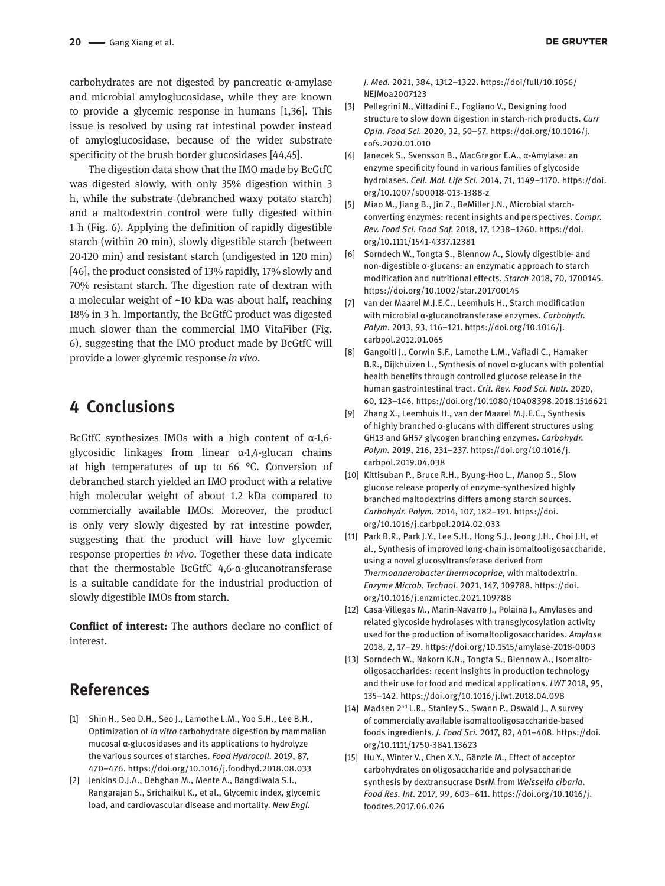carbohydrates are not digested by pancreatic α-amylase and microbial amyloglucosidase, while they are known to provide a glycemic response in humans [1,36]. This issue is resolved by using rat intestinal powder instead of amyloglucosidase, because of the wider substrate specificity of the brush border glucosidases [44,45].

The digestion data show that the IMO made by BcGtfC was digested slowly, with only 35% digestion within 3 h, while the substrate (debranched waxy potato starch) and a maltodextrin control were fully digested within 1 h (Fig. 6). Applying the definition of rapidly digestible starch (within 20 min), slowly digestible starch (between 20-120 min) and resistant starch (undigested in 120 min) [46], the product consisted of 13% rapidly, 17% slowly and 70% resistant starch. The digestion rate of dextran with a molecular weight of ~10 kDa was about half, reaching 18% in 3 h. Importantly, the BcGtfC product was digested much slower than the commercial IMO VitaFiber (Fig. 6), suggesting that the IMO product made by BcGtfC will provide a lower glycemic response *in vivo*.

# **4 Conclusions**

BcGtfC synthesizes IMOs with a high content of  $\alpha$ -1,6glycosidic linkages from linear α-1,4-glucan chains at high temperatures of up to 66 °C. Conversion of debranched starch yielded an IMO product with a relative high molecular weight of about 1.2 kDa compared to commercially available IMOs. Moreover, the product is only very slowly digested by rat intestine powder, suggesting that the product will have low glycemic response properties *in vivo*. Together these data indicate that the thermostable BcGtfC 4,6-α-glucanotransferase is a suitable candidate for the industrial production of slowly digestible IMOs from starch.

**Conflict of interest:** The authors declare no conflict of interest.

# **References**

- [1] Shin H., Seo D.H., Seo J., Lamothe L.M., Yoo S.H., Lee B.H., Optimization of *in vitro* carbohydrate digestion by mammalian mucosal α-glucosidases and its applications to hydrolyze the various sources of starches. *Food Hydrocoll*. 2019, 87, 470–476. <https://doi.org/10.1016/j.foodhyd.2018.08.033>
- [2] Jenkins D.J.A., Dehghan M., Mente A., Bangdiwala S.I., Rangarajan S., Srichaikul K., et al., Glycemic index, glycemic load, and cardiovascular disease and mortality. *New Engl.*
- [3] Pellegrini N., Vittadini E., Fogliano V., Designing food structure to slow down digestion in starch-rich products. *Curr Opin. Food Sci.* 2020, 32, 50–57. https://doi.org/10.1016/j. cofs.2020.01.010
- [4] Janecek S., Svensson B., MacGregor E.A., α-Amylase: an enzyme specificity found in various families of glycoside hydrolases. *Cell. Mol. Life Sci.* 2014, 71, 1149–1170. [https://doi.](https://doi.org/10.1007/s00018-013-1388-z) [org/10.1007/s00018-013-1388-z](https://doi.org/10.1007/s00018-013-1388-z)
- [5] Miao M., Jiang B., Jin Z., BeMiller J.N., Microbial starchconverting enzymes: recent insights and perspectives. *Compr. Rev. Food Sci. Food Saf.* 2018, 17, 1238–1260. [https://doi.](https://doi.org/10.1111/1541-4337.12381) [org/10.1111/1541-4337.12381](https://doi.org/10.1111/1541-4337.12381)
- [6] Sorndech W., Tongta S., Blennow A., Slowly digestible- and non-digestible α-glucans: an enzymatic approach to starch modification and nutritional effects. *Starch* 2018, 70, 1700145. <https://doi.org/10.1002/star.201700145>
- [7] van der Maarel M.J.E.C., Leemhuis H., Starch modification with microbial α-glucanotransferase enzymes. *Carbohydr. Polym*. 2013, 93, 116–121. [https://doi.org/10.1016/j.](https://doi.org/10.1016/j.carbpol.2012.01.065) [carbpol.2012.01.065](https://doi.org/10.1016/j.carbpol.2012.01.065)
- [8] Gangoiti J., Corwin S.F., Lamothe L.M., Vafiadi C., Hamaker B.R., Dijkhuizen L., Synthesis of novel α-glucans with potential health benefits through controlled glucose release in the human gastrointestinal tract. *Crit. Rev. Food Sci. Nutr.* 2020, 60, 123–146. <https://doi.org/10.1080/10408398.2018.1516621>
- [9] Zhang X., Leemhuis H., van der Maarel M.J.E.C., Synthesis of highly branched α-glucans with different structures using GH13 and GH57 glycogen branching enzymes. *Carbohydr. Polym.* 2019, 216, 231–237. [https://doi.org/10.1016/j.](https://doi.org/10.1016/j.carbpol.2019.04.038) [carbpol.2019.04.038](https://doi.org/10.1016/j.carbpol.2019.04.038)
- [10] Kittisuban P., Bruce R.H., Byung-Hoo L., Manop S., Slow glucose release property of enzyme-synthesized highly branched maltodextrins differs among starch sources. *Carbohydr. Polym.* 2014, 107, 182–191. [https://doi.](https://doi.org/10.1016/j.carbpol.2014.02.033) [org/10.1016/j.carbpol.2014.02.033](https://doi.org/10.1016/j.carbpol.2014.02.033)
- [11] Park B.R., Park J.Y., Lee S.H., Hong S.J., Jeong J.H., Choi J.H, et al., Synthesis of improved long-chain isomaltooligosaccharide, using a novel glucosyltransferase derived from *Thermoanaerobacter thermocopriae*, with maltodextrin. *Enzyme Microb. Technol*. 2021, 147, 109788. [https://doi.](https://doi.org/10.1016/j.enzmictec.2021.109788) [org/10.1016/j.enzmictec.2021.109788](https://doi.org/10.1016/j.enzmictec.2021.109788)
- [12] Casa-Villegas M., Marin-Navarro J., Polaina J., Amylases and related glycoside hydrolases with transglycosylation activity used for the production of isomaltooligosaccharides. *Amylase* 2018, 2, 17–29. <https://doi.org/10.1515/amylase-2018-0003>
- [13] Sorndech W., Nakorn K.N., Tongta S., Blennow A., Isomaltooligosaccharides: recent insights in production technology and their use for food and medical applications. *LWT* 2018, 95, 135–142. <https://doi.org/10.1016/j.lwt.2018.04.098>
- [14] Madsen 2<sup>nd</sup> L.R., Stanley S., Swann P., Oswald J., A survey of commercially available isomaltooligosaccharide-based foods ingredients. *J. Food Sci.* 2017, 82, 401–408. [https://doi.](https://doi.org/10.1111/1750-3841.13623) [org/10.1111/1750-3841.13623](https://doi.org/10.1111/1750-3841.13623)
- [15] Hu Y., Winter V., Chen X.Y., Gänzle M., Effect of acceptor carbohydrates on oligosaccharide and polysaccharide synthesis by dextransucrase DsrM from *Weissella cibaria*. *Food Res. Int*. 2017, 99, 603–611. [https://doi.org/10.1016/j.](https://doi.org/10.1016/j.foodres.2017.06.026) [foodres.2017.06.026](https://doi.org/10.1016/j.foodres.2017.06.026)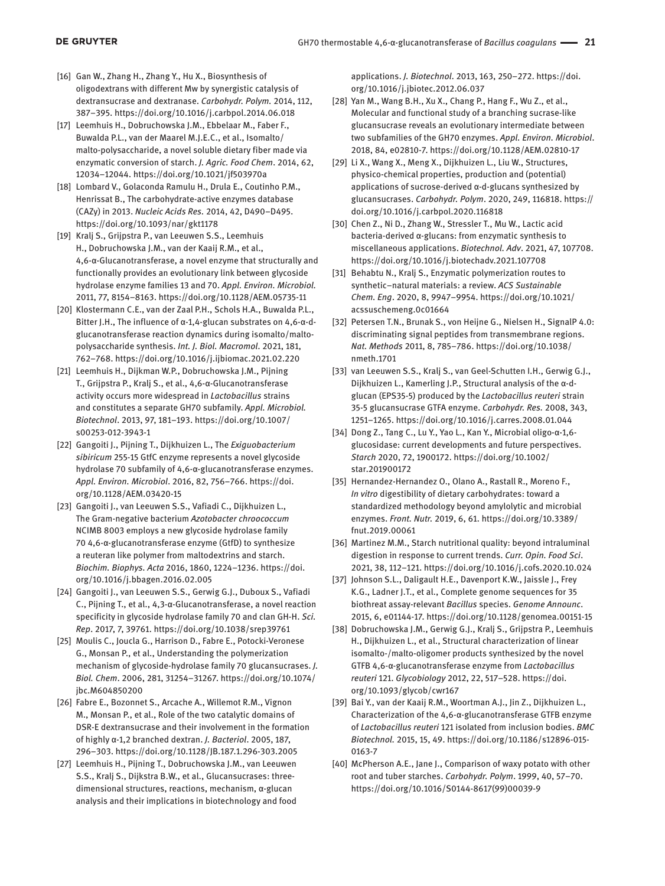- [16] Gan W., Zhang H., Zhang Y., Hu X., Biosynthesis of oligodextrans with different Mw by synergistic catalysis of dextransucrase and dextranase. *Carbohydr. Polym.* 2014, 112, 387–395. <https://doi.org/10.1016/j.carbpol.2014.06.018>
- [17] Leemhuis H., Dobruchowska J.M., Ebbelaar M., Faber F., Buwalda P.L., van der Maarel M.J.E.C., et al., Isomalto/ malto-polysaccharide, a novel soluble dietary fiber made via enzymatic conversion of starch. *J. Agric. Food Chem*. 2014, 62, 12034–12044.<https://doi.org/10.1021/jf503970a>
- [18] Lombard V., Golaconda Ramulu H., Drula E., Coutinho P.M., Henrissat B., The carbohydrate-active enzymes database (CAZy) in 2013. *Nucleic Acids Res.* 2014, 42, D490–D495. <https://doi.org/10.1093/nar/gkt1178>
- [19] Kralj S., Grijpstra P., van Leeuwen S.S., Leemhuis H., Dobruchowska J.M., van der Kaaij R.M., et al., 4,6-α-Glucanotransferase, a novel enzyme that structurally and functionally provides an evolutionary link between glycoside hydrolase enzyme families 13 and 70. *Appl. Environ. Microbiol.* 2011, 77, 8154–8163.<https://doi.org/10.1128/AEM.05735-11>
- [20] Klostermann C.E., van der Zaal P.H., Schols H.A., Buwalda P.L., Bitter J.H., The influence of α-1,4-glucan substrates on 4,6-α-dglucanotransferase reaction dynamics during isomalto/maltopolysaccharide synthesis. *Int. J. Biol. Macromol*. 2021, 181, 762–768.<https://doi.org/10.1016/j.ijbiomac.2021.02.220>
- [21] Leemhuis H., Dijkman W.P., Dobruchowska J.M., Pijning T., Grijpstra P., Kralj S., et al., 4,6-α-Glucanotransferase activity occurs more widespread in *Lactobacillus* strains and constitutes a separate GH70 subfamily. *Appl. Microbiol. Biotechnol*. 2013, 97, 181–193. [https://doi.org/10.1007/](https://doi.org/10.1007/s00253-012-3943-1) [s00253-012-3943-1](https://doi.org/10.1007/s00253-012-3943-1)
- [22] Gangoiti J., Pijning T., Dijkhuizen L., The *Exiguobacterium sibiricum* 255-15 GtfC enzyme represents a novel glycoside hydrolase 70 subfamily of 4,6-α-glucanotransferase enzymes. *Appl. Environ. Microbiol*. 2016, 82, 756–766. [https://doi.](https://doi.org/10.1128/AEM.03420-15) [org/10.1128/AEM.03420-15](https://doi.org/10.1128/AEM.03420-15)
- [23] Gangoiti J., van Leeuwen S.S., Vafiadi C., Dijkhuizen L., The Gram-negative bacterium *Azotobacter chroococcum* NCIMB 8003 employs a new glycoside hydrolase family 70 4,6-α-glucanotransferase enzyme (GtfD) to synthesize a reuteran like polymer from maltodextrins and starch. *Biochim. Biophys. Acta* 2016, 1860, 1224–1236. [https://doi.](https://doi.org/10.1016/j.bbagen.2016.02.005) [org/10.1016/j.bbagen.2016.02.005](https://doi.org/10.1016/j.bbagen.2016.02.005)
- [24] Gangoiti J., van Leeuwen S.S., Gerwig G.J., Duboux S., Vafiadi C., Pijning T., et al., 4,3-α-Glucanotransferase, a novel reaction specificity in glycoside hydrolase family 70 and clan GH-H. *Sci. Rep*. 2017, 7, 39761. <https://doi.org/10.1038/srep39761>
- [25] Moulis C., Joucla G., Harrison D., Fabre E., Potocki-Veronese G., Monsan P., et al., Understanding the polymerization mechanism of glycoside-hydrolase family 70 glucansucrases. *J. Biol. Chem*. 2006, 281, 31254–31267. [https://doi.org/10.1074/](https://doi.org/10.1074/jbc.M604850200) [jbc.M604850200](https://doi.org/10.1074/jbc.M604850200)
- [26] Fabre E., Bozonnet S., Arcache A., Willemot R.M., Vignon M., Monsan P., et al., Role of the two catalytic domains of DSR-E dextransucrase and their involvement in the formation of highly α-1,2 branched dextran. *J. Bacteriol*. 2005, 187, 296–303. <https://doi.org/10.1128/JB.187.1.296-303.2005>
- [27] Leemhuis H., Pijning T., Dobruchowska J.M., van Leeuwen S.S., Kralj S., Dijkstra B.W., et al., Glucansucrases: threedimensional structures, reactions, mechanism, α-glucan analysis and their implications in biotechnology and food

applications. *J. Biotechnol*. 2013, 163, 250–272. [https://doi.](https://doi.org/10.1016/j.jbiotec.2012.06.037) [org/10.1016/j.jbiotec.2012.06.037](https://doi.org/10.1016/j.jbiotec.2012.06.037)

- [28] Yan M., Wang B.H., Xu X., Chang P., Hang F., Wu Z., et al., Molecular and functional study of a branching sucrase-like glucansucrase reveals an evolutionary intermediate between two subfamilies of the GH70 enzymes. *Appl. Environ. Microbiol*. 2018, 84, e02810-7.<https://doi.org/10.1128/AEM.02810-17>
- [29] Li X., Wang X., Meng X., Dijkhuizen L., Liu W., Structures, physico-chemical properties, production and (potential) applications of sucrose-derived α-d-glucans synthesized by glucansucrases. *Carbohydr. Polym*. 2020, 249, 116818. [https://](https://doi.org/10.1016/j.carbpol.2020.116818) [doi.org/10.1016/j.carbpol.2020.116818](https://doi.org/10.1016/j.carbpol.2020.116818)
- [30] Chen Z., Ni D., Zhang W., Stressler T., Mu W., Lactic acid bacteria-derived α-glucans: from enzymatic synthesis to miscellaneous applications. *Biotechnol. Adv*. 2021, 47, 107708. <https://doi.org/10.1016/j.biotechadv.2021.107708>
- [31] Behabtu N., Kralj S., Enzymatic polymerization routes to synthetic−natural materials: a review. *ACS Sustainable Chem. Eng*. 2020, 8, 9947–9954. [https://doi.org/10.1021/](https://doi.org/10.1021/acssuschemeng.0c01664) [acssuschemeng.0c01664](https://doi.org/10.1021/acssuschemeng.0c01664)
- [32] Petersen T.N., Brunak S., von Heijne G., Nielsen H., SignalP 4.0: discriminating signal peptides from transmembrane regions. *Nat. Methods* 2011, 8, 785–786. [https://doi.org/10.1038/](https://doi.org/10.1038/nmeth.1701) [nmeth.1701](https://doi.org/10.1038/nmeth.1701)
- [33] van Leeuwen S.S., Kralj S., van Geel-Schutten I.H., Gerwig G.J., Dijkhuizen L., Kamerling J.P., Structural analysis of the α-dglucan (EPS35-5) produced by the *Lactobacillus reuteri* strain 35-5 glucansucrase GTFA enzyme. *Carbohydr. Res.* 2008, 343, 1251–1265. <https://doi.org/10.1016/j.carres.2008.01.044>
- [34] Dong Z., Tang C., Lu Y., Yao L., Kan Y., Microbial oligo-α-1,6 glucosidase: current developments and future perspectives. *Starch* 2020, 72, 1900172. [https://doi.org/10.1002/](https://doi.org/10.1002/star.201900172) [star.201900172](https://doi.org/10.1002/star.201900172)
- [35] Hernandez-Hernandez O., Olano A., Rastall R., Moreno F., *In vitro* digestibility of dietary carbohydrates: toward a standardized methodology beyond amylolytic and microbial enzymes. *Front. Nutr.* 2019, 6, 61. [https://doi.org/10.3389/](https://doi.org/10.3389/fnut.2019.00061) [fnut.2019.00061](https://doi.org/10.3389/fnut.2019.00061)
- [36] Martinez M.M., Starch nutritional quality: beyond intraluminal digestion in response to current trends. *Curr. Opin. Food Sci*. 2021, 38, 112–121. <https://doi.org/10.1016/j.cofs.2020.10.024>
- [37] Johnson S.L., Daligault H.E., Davenport K.W., Jaissle J., Frey K.G., Ladner J.T., et al., Complete genome sequences for 35 biothreat assay-relevant *Bacillus* species. *Genome Announc*. 2015, 6, e01144-17.<https://doi.org/10.1128/genomea.00151-15>
- [38] Dobruchowska J.M., Gerwig G.J., Kralj S., Grijpstra P., Leemhuis H., Dijkhuizen L., et al., Structural characterization of linear isomalto-/malto-oligomer products synthesized by the novel GTFB 4,6-α-glucanotransferase enzyme from *Lactobacillus reuteri* 121. *Glycobiology* 2012, 22, 517–528. [https://doi.](https://doi.org/10.1093/glycob/cwr167) [org/10.1093/glycob/cwr167](https://doi.org/10.1093/glycob/cwr167)
- [39] Bai Y., van der Kaaij R.M., Woortman A.J., Jin Z., Dijkhuizen L., Characterization of the 4,6-α-glucanotransferase GTFB enzyme of *Lactobacillus reuteri* 121 isolated from inclusion bodies. *BMC Biotechnol.* 2015, 15, 49. [https://doi.org/10.1186/s12896-015-](https://doi.org/10.1186/s12896-015-0163-7) [0163-7](https://doi.org/10.1186/s12896-015-0163-7)
- [40] McPherson A.E., Jane J., Comparison of waxy potato with other root and tuber starches. *Carbohydr. Polym*. 1999, 40, 57–70. [https://doi.org/10.1016/S0144-8617\(99\)00039-9](https://doi.org/10.1016/S0144-8617(99)00039-9)